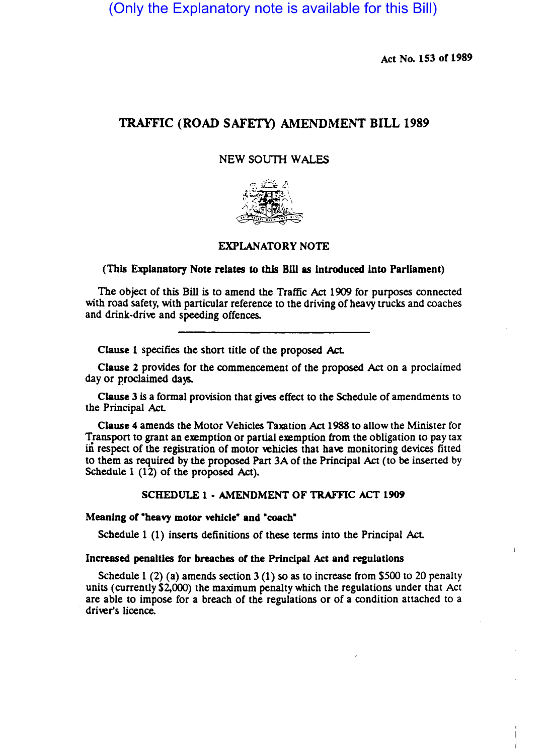(Only the Explanatory note is available for this Bill)

Act No. 153 of 1989

# TRAFFIC (ROAD SAFETY) AMENDMENT BILL 1989

# NEW SOUTH WALES



# EXPLANATORY NOTE

# (This Explanatory Note relates to this B11I as introduced into Parliament)

The object of this Bill is to amend the Traffic Act 1909 for purposes connected with road safety, with particular reference to the driving of heavy trucks and coaches and drink-drive and speeding offences.

Clause 1 specifies the short title of the proposed Act.

Clause 2 provides for the commencement of the proposed Act on a proclaimed day or proclaimed days.

Clause 3 is a formal provision that gives effect to the Schedule of amendments to the Principal AcL

Clause 4 amends the Motor Vehicles Taxation Act 1988 to allow the Minister for Transport to grant an exemption or partial exemption from the obligation to pay tax in respect of the registration of motor vehicles that have monitoring devices fitted to them as required by the proposed Part 3A of the Principal Act (to be inserted by Schedule 1 (12) of the proposed Act).

### SCHEDULE 1· AMENDMENT OF TRAFFIC ACT 1909

#### Meaning of "beavy motor vehicle" and "coach"

Schedule 1 (1) inserts definitions of these terms into the Principal AcL

#### Increased penalties for breaches of the PrInclpal Act and regulations

Schedule 1 (2) (a) amends section 3 (1) so as to increase from \$500 to 20 penalty units (currently \$2,000) the maximum penalty which the regulations under that Act are able to impose for a breach of the regulations or of a condition attached to a driver's licence.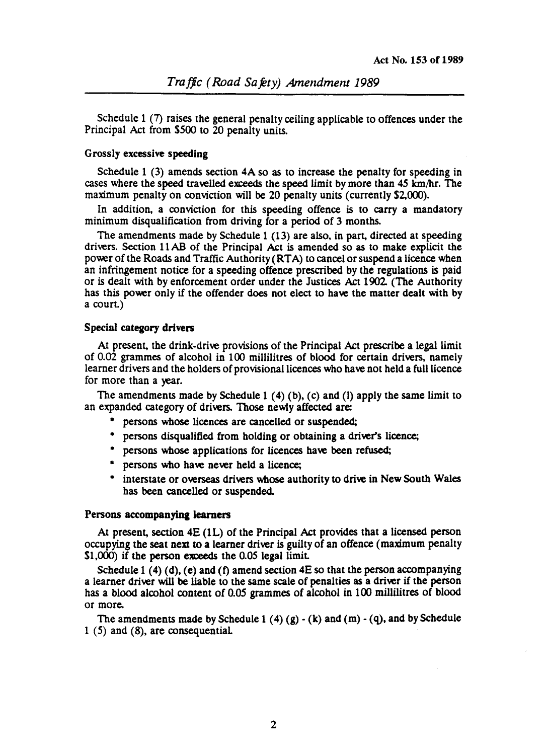Schedule 1 (7) raises the general penalty ceiling applicable to offences under the Principal Act from \$500 to 20 penalty units.

### Grossly excessive speeding

Schedule 1 (3) amends section 4A so as to increase the penalty for speeding in cases where the speed travelled exceeds the speed limit by more than 45 km/hr. The maximum penalty on conviction will be 20 penalty units (currently \$2,000).

In addition, a conviction for this speeding offence is to carry a mandatory minimum disqualification from driving for a period of 3 months.

The amendments made by Schedule 1 (13) are also, in part, directed at speeding drivers. Section 11 AB of the Principal Act is amended so as to make explicit the power of the Roads and Traffic Authority (RTA) to cancel or suspend a licence when an infringement notice for a speeding offence prescribed by the regulations is paid or is dealt with by enforcement order under the Justices Act 1902 (The Authority has this power only if the offender does not elect to have the matter dealt with by a court)

### Special category drivers

At present, the drink-drive provisions of the Principal Act prescribe a legal limit of 0.02 grammes of alcohol in 100 millilitres of blood for certain drivers, namely learner drivers and the holders of provisional licences who have not held a full licence for more than a year.

The amendments made by Schedule 1 (4) (b), (c) and (1) apply the same limit to an expanded category of drivers. Those newly affected are:

- persons whose licences are cancelled or suspended;
- persons disqualified from bolding or obtaining a driver's licence;
- persons whose applications for licences have been refused;
- persons who bave never beld a licence;
- interstate or overseas drivers whose authority to drive in New South Wales has been cancelled or suspended.

### Persons accompanying learners

At present, section 4E (lL) of the Principal Act provides that a licensed person occupying the seat next to a learner driver is guilty of an offence (maximum penalty  $$1,000$  if the person exceeds the 0.05 legal limit.

Schedule 1 (4) (d), (e) and (f) amend section  $4E$  so that the person accompanying a learner driver will be liable to the same scale of penalties as a driver if the person has a blood alcohol content of 0.05 grammes of alcohol in 100 millilitres of blood or more.

The amendments made by Schedule 1 (4)  $(g) - (k)$  and  $(m) - (q)$ , and by Schedule 1 (5) and (8), are consequential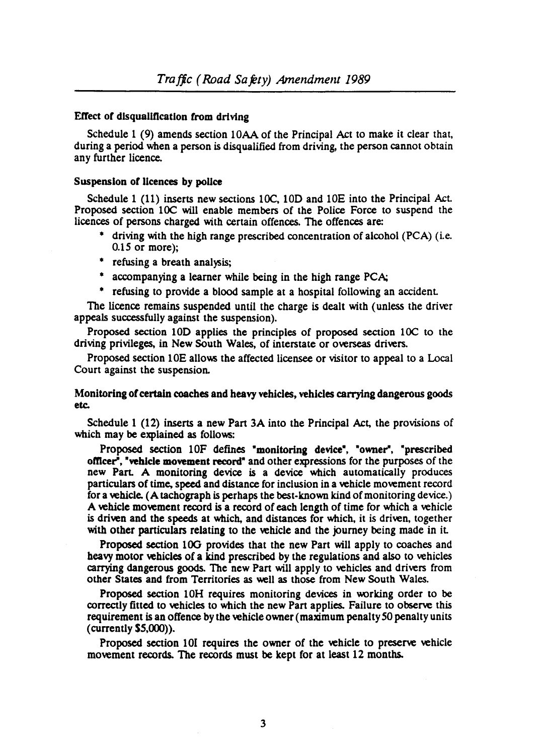### Effect of disqualification from driving

Schedule 1 (9) amends section 10AA of the Principal Act to make it clear that, during a period when a person is disqualified from driving, the person cannot obtain any further licence.

#### Suspension of licences by police

Schedule 1 (11) inserts new sections 10C, 10D and 10E into the Principal Act. Proposed section lOC will enable members of the Police Force to suspend the licences of persons charged with certain offences. The offences are:

- driving with the high range prescribed concentration of alcohol (PCA) (i.e. *O.lS* or more);
- refusing a breath analysis;
- accompanying a learner while being in the high range PCA;
- refusing to provide a blood sample at a hospital following an accident

The licence remains suspended until the charge is dealt with (unless the driver appeals successfully against the suspension).

Proposed section 10D applies the principles of proposed section 10C to the driving privileges, in New South Wales, of interstate or overseas drivers.

Proposed section 10E allows the affected licensee or visitor to appeal to a Local Court against the suspension.

# Monitoring of certain coaches and heavy vehicles, vehicles carrying dangerous goods etc.

Schedule  $1$  (12) inserts a new Part 3A into the Principal Act, the provisions of which may be explained as follows:

Proposed section 10F defines "monitoring device", "owner", "prescribed officer", "vehicle movement record" and other expressions for the purposes of the new Part. A monitoring device is a device which automatically produces particulars of time, speed and distance for inclusion in a vehicle movement record for a vehicle. (A tachograph is perhaps the best-known kind of monitoring device.) A vehicle movement record is a record of each length of time for which a vehicle is driven and the speeds at which, and distances for which, it is driven, together with other particulars relating to the vehicle and the journey being made in it.

Proposed section 10G provides that the new Part will apply to coaches and heavy motor vehicles of a kind prescribed by the regulations and also to vehicles carrying dangerous goods. The new Part will apply to vehicles and drivers from other States and from Territories as well as those from New South Wales.

Proposed section 10H requires monitoring devices in working order to be correctly fitted to vehicles to which the new Part applies. Failure to observe this requirement is an offence by the vehicle owner (maximum penalty 50 penalty units (currently *SS,OOO».* 

Proposed section 10I requires the owner of the vehicle to preserve vehicle movement records. The records must be kept for at least 12 months.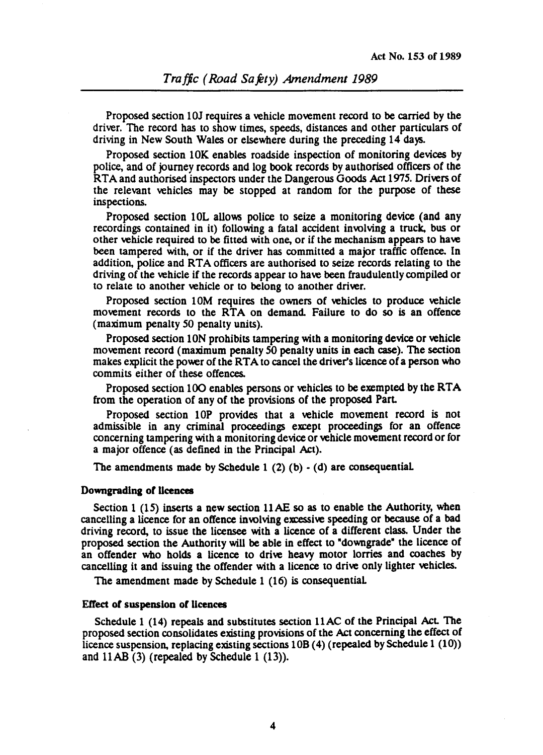Proposed section 10J requires a vehicle movement record to be carried by the driver. The record has to show times, speeds, distances and other paniculars of driving in New South Wales or elsewhere during the preceding 14 days.

Proposed section 10K enables roadside inspection of monitoring devices by police, and of journey records and log book records by authorised officers of the RTA and authorised inspectors under the Dangerous Goods Act 1975. Drivers of the relevant vehicles may be stopped at random for the purpose of these inspections.

Proposed section 10L allows police to seize a monitoring device (and any recordings contained in it) follOwing a fatal accident involving a truck, bus or other vehicle required to be fitted with one, or if the mechanism appears to have been tampered with, or if the driver has committed a major traffic offence. In addition, police and RTA officers are authorised to seize records relating to the driving of the vehicle if the records appear to have been fraudulently compiled or to relate to another vehicle or to belong to another driver.

Proposed section 10M requires the owners of vehicles to produce vehicle movement records to the RTA on demand. Failure to do so is an offence (maximum penalty SO penalty units).

Proposed section ION prohibits tampering with a monitoring device or vehicle movement record (maximum penalty SO penalty units in each case). The section malkes explicit the power of the RTA to cancel the driver's licence of a person who commits either of these offences.

Proposed section 100 enables persons or vehicles to be exempted by the RTA from the operation of any of the provisions of the proposed Part.

Proposed section lOP provides that a vehicle movement record is not admissible in any criminal proceedings except proceedings for an offence concerning tampering with a monitoring device or vehicle movement record or for a major offence (as defined in the Principal Act).

The amendments made by Schedule 1  $(2)$   $(b)$   $\cdot$   $(d)$  are consequential.

### Downgrading or licences

Section 1 *(IS)* inserts a new section llAE so as to enable the Authority, when cancelling a licence for an offence involving excessive speeding or because of a bad driving record, to issue tbe licensee witb a licence of a different class. Under the proposed section the Authority will be able in effect to "downgrade" the licence of an offender who holds a licence to drive heavy motor lorries and coaches by cancelling it and issuing the offender with a licence to drive only lighter vehicles.

The amendment made by Schedule 1 (16) is consequential

#### Effect of suspension of licences

Schedule 1 (14) repeals and substitutes section 11AC of the Principal Act. The proposed section consolidates existing provisions of the Act concerning the effect of licence suspension, replacing existing sections lOB (4) (repealed by Schedule 1 (10» and llAB (3) (repealed by Schedule 1 (13».